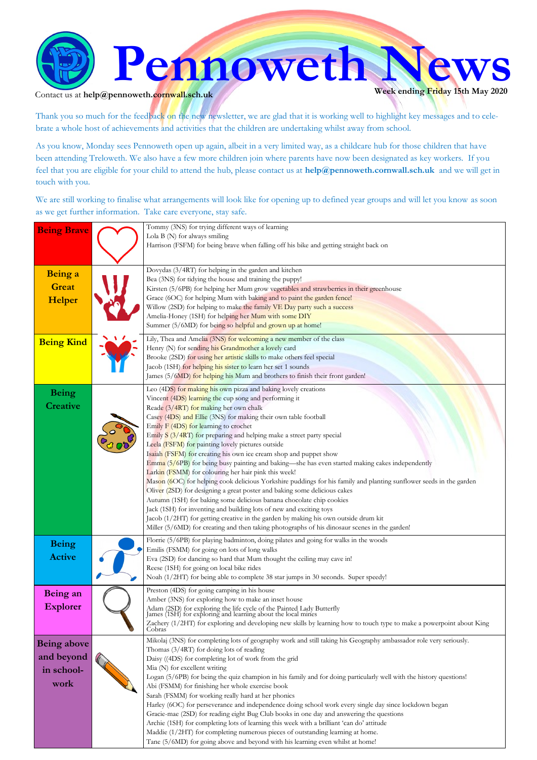

#### Contact us at  $\text{help@pennoweth.cornwall.sch.uk}$

Thank you so much for the feedback on the new newsletter, we are glad that it is working well to highlight key messages and to celebrate a whole host of achievements and activities that the children are undertaking whilst away from school.

As you know, Monday sees Pennoweth open up again, albeit in a very limited way, as a childcare hub for those children that have been attending Treloweth. We also have a few more children join where parents have now been designated as key workers. If you feel that you are eligible for your child to attend the hub, please contact us at **help@pennoweth.cornwall.sch.uk** and we will get in touch with you.

We are still working to finalise what arrangements will look like for opening up to defined year groups and will let you know as soon as we get further information. Take care everyone, stay safe.

| <b>Being Brave</b>                                     | Tommy (3NS) for trying different ways of learning<br>Lola $B(N)$ for always smiling<br>Harrison (FSFM) for being brave when falling off his bike and getting straight back on                                                                                                                                                                                                                                                                                                                                                                                                                                                                                                                                                                                                                                                                                                                                                                                                                                                                                                                                                                                                           |
|--------------------------------------------------------|-----------------------------------------------------------------------------------------------------------------------------------------------------------------------------------------------------------------------------------------------------------------------------------------------------------------------------------------------------------------------------------------------------------------------------------------------------------------------------------------------------------------------------------------------------------------------------------------------------------------------------------------------------------------------------------------------------------------------------------------------------------------------------------------------------------------------------------------------------------------------------------------------------------------------------------------------------------------------------------------------------------------------------------------------------------------------------------------------------------------------------------------------------------------------------------------|
| Being a<br><b>Great</b><br>Helper                      | Dovydas (3/4RT) for helping in the garden and kitchen<br>Bea (3NS) for tidying the house and training the puppy!<br>Kirsten (5/6PB) for helping her Mum grow vegetables and strawberries in their greenhouse<br>Grace (6OC) for helping Mum with baking and to paint the garden fence!<br>Willow (2SD) for helping to make the family VE Day party such a success<br>Amelia-Honey (1SH) for helping her Mum with some DIY<br>Summer (5/6MD) for being so helpful and grown up at home!                                                                                                                                                                                                                                                                                                                                                                                                                                                                                                                                                                                                                                                                                                  |
| <b>Being Kind</b>                                      | Lily, Thea and Amelia (3NS) for welcoming a new member of the class<br>Henry (N) for sending his Grandmother a lovely card<br>Brooke (2SD) for using her artistic skills to make others feel special<br>Jacob (1SH) for helping his sister to learn her set 1 sounds<br>James (5/6MD) for helping his Mum and brothers to finish their front garden!                                                                                                                                                                                                                                                                                                                                                                                                                                                                                                                                                                                                                                                                                                                                                                                                                                    |
| <b>Being</b><br><b>Creative</b>                        | Leo (4DS) for making his own pizza and baking lovely creations<br>Vincent (4DS) learning the cup song and performing it<br>Reade (3/4RT) for making her own chalk<br>Casey (4DS) and Ellie (3NS) for making their own table football<br>Emily F (4DS) for learning to crochet<br>Emily $S(3/4RT)$ for preparing and helping make a street party special<br>Leela (FSFM) for painting lovely pictures outside<br>Isaiah (FSFM) for creating his own ice cream shop and puppet show<br>Emma (5/6PB) for being busy painting and baking—she has even started making cakes independently<br>Larkin (FSMM) for colouring her hair pink this week!<br>Mason (6OC) for helping cook delicious Yorkshire puddings for his family and planting sunflower seeds in the garden<br>Oliver (2SD) for designing a great poster and baking some delicious cakes<br>Autumn (1SH) for baking some delicious banana chocolate chip cookies<br>Jack (1SH) for inventing and building lots of new and exciting toys<br>Jacob (1/2HT) for getting creative in the garden by making his own outside drum kit<br>Miller (5/6MD) for creating and then taking photographs of his dinosaur scenes in the garden! |
| <b>Being</b><br><b>Active</b>                          | Florne (5/6PB) for playing badminton, doing pilates and going for walks in the woods<br>Emilis (FSMM) for going on lots of long walks<br>Eva (2SD) for dancing so hard that Mum thought the ceiling may cave in!<br>Reese (1SH) for going on local bike rides<br>Noah (1/2HT) for being able to complete 38 star jumps in 30 seconds. Super speedy!                                                                                                                                                                                                                                                                                                                                                                                                                                                                                                                                                                                                                                                                                                                                                                                                                                     |
| Being an<br><b>Explorer</b>                            | Preston (4DS) for going camping in his house<br>Amber (3NS) for exploring how to make an inset house<br>Adam (2SD) for exploring the life cycle of the Painted Lady Butterfly<br>James (1SH) for exploring and learning about the local mines<br>Zachery (1/2HT) for exploring and developing new skills by learning how to touch type to make a powerpoint about King<br>Cobras                                                                                                                                                                                                                                                                                                                                                                                                                                                                                                                                                                                                                                                                                                                                                                                                        |
| <b>Being above</b><br>and beyond<br>in school-<br>work | Mikolaj (3NS) for completing lots of geography work and still taking his Geography ambassador role very seriously.<br>Thomas (3/4RT) for doing lots of reading<br>Daisy ((4DS) for completing lot of work from the grid<br>Mia (N) for excellent writing<br>Logan (5/6PB) for being the quiz champion in his family and for doing particularly well with the history questions!<br>Abi (FSMM) for finishing her whole exercise book<br>Sarah (FSMM) for working really hard at her phonics<br>Harley (6OC) for perseverance and independence doing school work every single day since lockdown began<br>Gracie-mae (2SD) for reading eight Bug Club books in one day and answering the questions<br>Archie (1SH) for completing lots of learning this week with a brilliant 'can do' attitude<br>Maddie (1/2HT) for completing numerous pieces of outstanding learning at home.<br>Tane (5/6MD) for going above and beyond with his learning even whilst at home!                                                                                                                                                                                                                       |